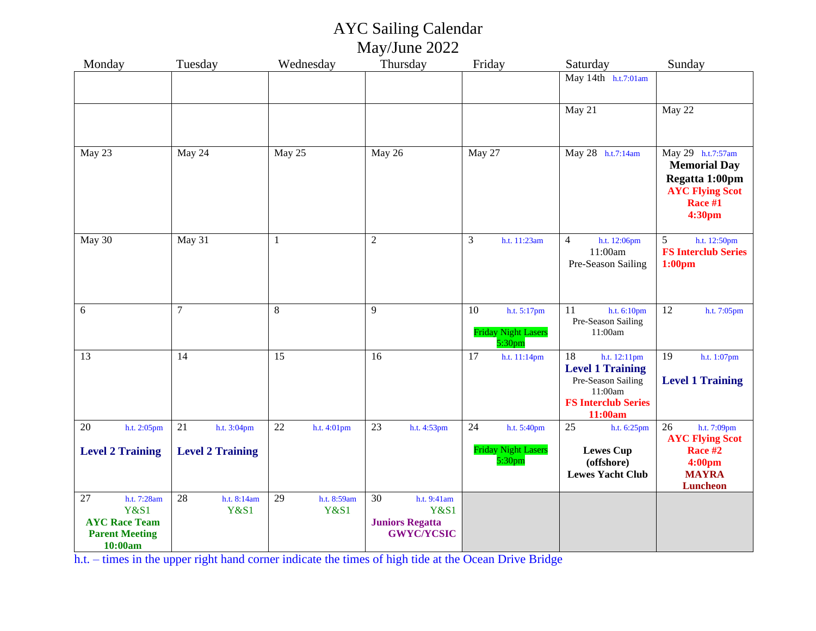## AYC Sailing Calendar May/June 2022

| Monday                                                   | Tuesday                 | Wednesday         | Thursday                                    | Friday                                           | Saturday                                                        | Sunday                                                                                          |
|----------------------------------------------------------|-------------------------|-------------------|---------------------------------------------|--------------------------------------------------|-----------------------------------------------------------------|-------------------------------------------------------------------------------------------------|
|                                                          |                         |                   |                                             |                                                  | May 14th h.t.7:01am                                             |                                                                                                 |
|                                                          |                         |                   |                                             |                                                  |                                                                 |                                                                                                 |
|                                                          |                         |                   |                                             |                                                  | May 21                                                          | May 22                                                                                          |
|                                                          |                         |                   |                                             |                                                  |                                                                 |                                                                                                 |
|                                                          |                         |                   |                                             |                                                  |                                                                 |                                                                                                 |
| May 23                                                   | May 24                  | May 25            | May 26                                      | May 27                                           | May 28 h.t.7:14am                                               | May 29 h.t.7:57am<br><b>Memorial Day</b><br>Regatta 1:00pm<br><b>AYC Flying Scot</b><br>Race #1 |
|                                                          |                         |                   |                                             |                                                  |                                                                 | 4:30pm                                                                                          |
| May 30                                                   | May 31                  | $\mathbf{1}$      | $\overline{2}$                              | 3<br>h.t. 11:23am                                | $\overline{4}$<br>h.t. 12:06pm<br>11:00am<br>Pre-Season Sailing | 5<br>h.t. 12:50pm<br><b>FS Interclub Series</b><br>1:00 <sub>pm</sub>                           |
|                                                          |                         |                   |                                             |                                                  |                                                                 |                                                                                                 |
| 6                                                        | $\boldsymbol{7}$        | $\,8\,$           | 9                                           | 10<br>h.t. 5:17pm                                | 11<br>h.t. 6:10pm                                               | 12<br>h.t. 7:05pm                                                                               |
|                                                          |                         |                   |                                             | <b>Friday Night Lasers</b><br>5:30 <sub>pm</sub> | Pre-Season Sailing<br>11:00am                                   |                                                                                                 |
| 13                                                       | 14                      | 15                | 16                                          | 17<br>h.t. 11:14pm                               | 18<br>h.t. 12:11pm                                              | 19<br>h.t. 1:07pm                                                                               |
|                                                          |                         |                   |                                             |                                                  | <b>Level 1 Training</b><br>Pre-Season Sailing                   |                                                                                                 |
|                                                          |                         |                   |                                             |                                                  | 11:00am                                                         | <b>Level 1 Training</b>                                                                         |
|                                                          |                         |                   |                                             |                                                  | <b>FS Interclub Series</b><br>11:00am                           |                                                                                                 |
| 20<br>h.t. 2:05pm                                        | 21<br>h.t. 3:04pm       | 22<br>h.t. 4:01pm | 23<br>h.t. 4:53pm                           | 24<br>h.t. 5:40pm                                | 25<br>h.t. 6:25pm                                               | 26<br>h.t. 7:09pm                                                                               |
|                                                          |                         |                   |                                             | <b>Friday Night Lasers</b>                       | <b>Lewes Cup</b>                                                | <b>AYC Flying Scot</b><br>Race #2                                                               |
| <b>Level 2 Training</b>                                  | <b>Level 2 Training</b> |                   |                                             | 5:30 <sub>pm</sub>                               | (offshore)                                                      | 4:00pm                                                                                          |
|                                                          |                         |                   |                                             |                                                  | <b>Lewes Yacht Club</b>                                         | <b>MAYRA</b><br><b>Luncheon</b>                                                                 |
| 27<br>h.t. 7:28am                                        | 28<br>h.t. 8:14am       | 29<br>h.t. 8:59am | 30<br>h.t. 9:41am                           |                                                  |                                                                 |                                                                                                 |
| <b>Y&amp;S1</b>                                          | <b>Y&amp;S1</b>         | <b>Y&amp;S1</b>   | <b>Y&amp;S1</b>                             |                                                  |                                                                 |                                                                                                 |
| <b>AYC Race Team</b><br><b>Parent Meeting</b><br>10:00am |                         |                   | <b>Juniors Regatta</b><br><b>GWYC/YCSIC</b> |                                                  |                                                                 |                                                                                                 |
|                                                          |                         |                   |                                             |                                                  |                                                                 |                                                                                                 |

h.t. – times in the upper right hand corner indicate the times of high tide at the Ocean Drive Bridge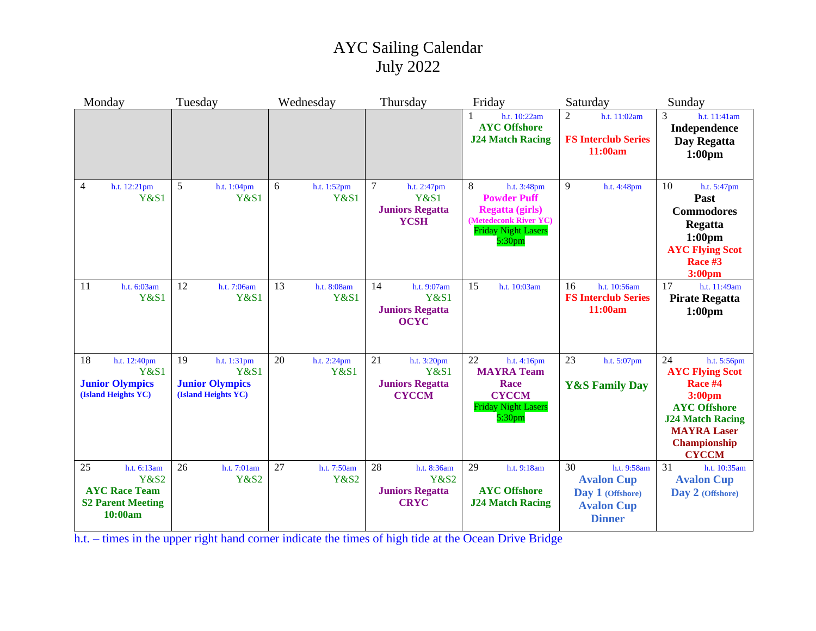## AYC Sailing Calendar July 2022

| Monday                                                                                              | Tuesday                                                                               | Wednesday                            | Thursday                                                                          | Friday                                                                                                                                        | Saturday                                                                                         | Sunday                                                                                                                                                                               |
|-----------------------------------------------------------------------------------------------------|---------------------------------------------------------------------------------------|--------------------------------------|-----------------------------------------------------------------------------------|-----------------------------------------------------------------------------------------------------------------------------------------------|--------------------------------------------------------------------------------------------------|--------------------------------------------------------------------------------------------------------------------------------------------------------------------------------------|
|                                                                                                     |                                                                                       |                                      |                                                                                   | h.t. 10:22am<br><b>AYC Offshore</b><br><b>J24 Match Racing</b>                                                                                | $\overline{2}$<br>h.t. 11:02am<br><b>FS Interclub Series</b><br>11:00am                          | 3<br>h.t. 11:41am<br>Independence<br>Day Regatta<br>1:00 <sub>pm</sub>                                                                                                               |
| $\overline{4}$<br>h.t. 12:21pm<br><b>Y&amp;S1</b>                                                   | 5<br>h.t. 1:04pm<br>Y&S1                                                              | 6<br>h.t. 1:52pm<br><b>Y&amp;S1</b>  | $\tau$<br>h.t. 2:47pm<br><b>Y&amp;S1</b><br><b>Juniors Regatta</b><br><b>YCSH</b> | 8<br>h.t. 3:48pm<br><b>Powder Puff</b><br><b>Regatta (girls)</b><br>(Metedeconk River YC)<br><b>Friday Night Lasers</b><br>5:30 <sub>pm</sub> | 9<br>h.t. 4:48pm                                                                                 | 10<br>h.t. 5:47pm<br>Past<br><b>Commodores</b><br>Regatta<br>1:00 <sub>pm</sub><br><b>AYC Flying Scot</b><br>Race #3<br>3:00 <sub>pm</sub>                                           |
| 11<br>h.t. 6:03am<br>Y&S1                                                                           | 12<br>h.t. 7:06am<br><b>Y&amp;S1</b>                                                  | 13<br>h.t. 8:08am<br><b>Y&amp;S1</b> | 14<br>h.t. 9:07am<br><b>Y&amp;S1</b><br><b>Juniors Regatta</b><br><b>OCYC</b>     | 15<br>h.t. 10:03am                                                                                                                            | 16<br>h.t. 10:56am<br><b>FS Interclub Series</b><br>11:00am                                      | 17<br>h.t. 11:49am<br><b>Pirate Regatta</b><br>1:00 <sub>pm</sub>                                                                                                                    |
| 18<br>h.t. 12:40pm<br><b>Y&amp;S1</b><br><b>Junior Olympics</b><br>(Island Heights YC)              | 19<br>h.t. 1:31pm<br><b>Y&amp;S1</b><br><b>Junior Olympics</b><br>(Island Heights YC) | 20<br>h.t. 2:24pm<br>Y&S1            | 21<br>h.t. 3:20pm<br><b>Y&amp;S1</b><br><b>Juniors Regatta</b><br><b>CYCCM</b>    | 22<br>h.t. 4:16pm<br><b>MAYRA Team</b><br>Race<br><b>CYCCM</b><br><b>Friday Night Lasers</b><br>5:30 <sub>pm</sub>                            | 23<br>h.t. $5:07$ pm<br><b>Y&amp;S Family Day</b>                                                | 24<br>h.t. 5:56pm<br><b>AYC Flying Scot</b><br>Race #4<br>3:00 <sub>pm</sub><br><b>AYC Offshore</b><br><b>J24 Match Racing</b><br><b>MAYRA Laser</b><br>Championship<br><b>CYCCM</b> |
| 25<br>h.t. 6:13am<br><b>Y&amp;S2</b><br><b>AYC Race Team</b><br><b>S2 Parent Meeting</b><br>10:00am | 26<br>h.t. 7:01am<br><b>Y&amp;S2</b>                                                  | 27<br>h.t. 7:50am<br><b>Y&amp;S2</b> | 28<br>h.t. 8:36am<br><b>Y&amp;S2</b><br><b>Juniors Regatta</b><br><b>CRYC</b>     | 29<br>h.t. 9:18am<br><b>AYC Offshore</b><br><b>J24 Match Racing</b>                                                                           | 30<br>h.t. 9:58am<br><b>Avalon Cup</b><br>Day 1 (Offshore)<br><b>Avalon Cup</b><br><b>Dinner</b> | 31<br>h.t. 10:35am<br><b>Avalon Cup</b><br>Day 2 (Offshore)                                                                                                                          |

h.t. – times in the upper right hand corner indicate the times of high tide at the Ocean Drive Bridge